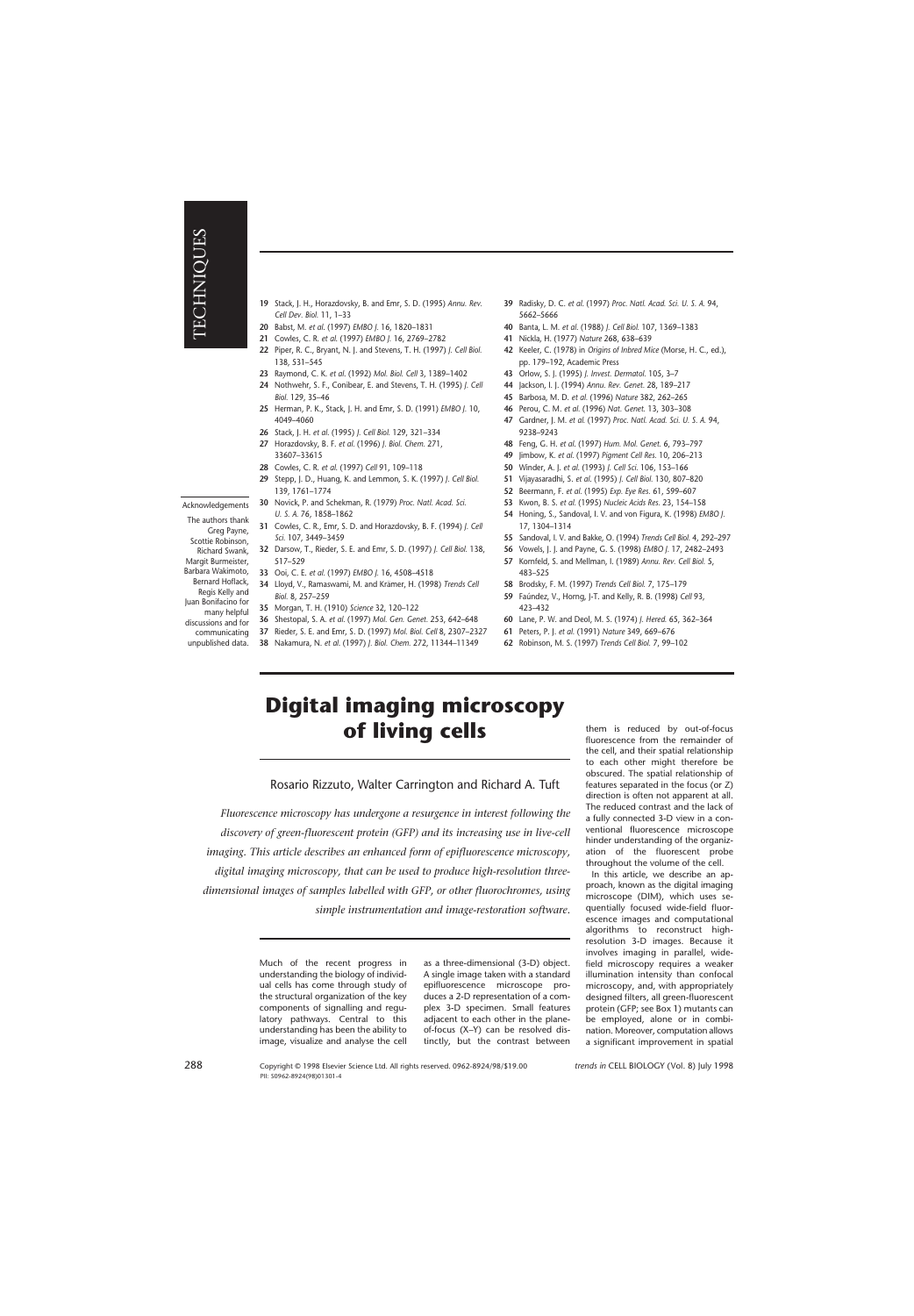- **20** Babst, M. *et al*. (1997) *EMBO J.* 16, 1820–1831
- **21** Cowles, C. R. *et al*. (1997) *EMBO J.* 16, 2769–2782
- **22** Piper, R. C., Bryant, N. J. and Stevens, T. H. (1997) *J. Cell Biol.* 138, 531–545
- **23** Raymond, C. K. *et al*. (1992) *Mol. Biol. Cell* 3, 1389–1402
- **24** Nothwehr, S. F., Conibear, E. and Stevens, T. H. (1995) *J. Cell Biol.* 129, 35–46
- **25** Herman, P. K., Stack, J. H. and Emr, S. D. (1991) *EMBO J.* 10, 4049–4060
- **26** Stack, J. H. *et al*. (1995) *J. Cell Biol.* 129, 321–334
- **27** Horazdovsky, B. F. *et al.* (1996) *J. Biol. Chem.* 271, 33607–33615
- **28** Cowles, C. R. *et al*. (1997) *Cell* 91, 109–118
- **29** Stepp, J. D., Huang, K. and Lemmon, S. K. (1997) *J. Cell Biol.* 139, 1761–1774
- Acknowledgements
- The authors thank Greg Payne, Scottie Robinson, Richard Swank, Margit Burmeister, Barbara Wakimoto, Bernard Hoflack, Regis Kelly and
- Juan Bonifacino for
- many helpful discussions and for
- communicating
- unpublished data.
- **30** Novick, P. and Schekman, R. (1979) *Proc. Natl. Acad. Sci.*
- *U. S. A.* 76, 1858–1862 **31** Cowles, C. R., Emr, S. D. and Horazdovsky, B. F. (1994) *J. Cell Sci.* 107, 3449–3459
- **32** Darsow, T., Rieder, S. E. and Emr, S. D. (1997) *J. Cell Biol.* 138, 517–529
- **33** Ooi, C. E. *et al.* (1997) *EMBO J.* 16, 4508–4518
- **34** Lloyd, V., Ramaswami, M. and Krämer, H. (1998) *Trends Cell Biol.* 8, 257–259
- **35** Morgan, T. H. (1910) *Science* 32, 120–122
- **36** Shestopal, S. A. *et al.* (1997) *Mol. Gen. Genet.* 253, 642–648
- **37** Rieder, S. E. and Emr, S. D. (1997) *Mol. Biol. Cell* 8, 2307–2327
- **38** Nakamura, N. *et al*. (1997) *J. Biol. Chem.* 272, 11344–11349
- **39** Radisky, D. C. *et al*. (1997) *Proc. Natl. Acad. Sci. U. S. A.* 94, 5662–5666
- **40** Banta, L. M. *et al*. (1988) *J. Cell Biol.* 107, 1369–1383
- **41** Nickla, H. (1977) *Nature* 268, 638–639
- **42** Keeler, C. (1978) in *Origins of Inbred Mice* (Morse, H. C., ed.), pp. 179–192, Academic Press
- **43** Orlow, S. J. (1995) *J. Invest. Dermatol.* 105, 3–7
- **44** Jackson, I. J. (1994) *Annu. Rev. Genet.* 28, 189–217
- **45** Barbosa, M. D. *et al.* (1996) *Nature* 382, 262–265
- **46** Perou, C. M. *et al.* (1996) *Nat. Genet.* 13, 303–308
- **47** Gardner, J. M. *et al.* (1997) *Proc. Natl. Acad. Sci. U. S. A.* 94, 9238–9243
- **48** Feng, G. H. *et al*. (1997) *Hum. Mol. Genet.* 6, 793–797
- **49** Jimbow, K. *et al.* (1997) *Pigment Cell Res.* 10, 206–213
- **50** Winder, A. J. *et al*. (1993) *J. Cell Sci.* 106, 153–166
- **51** Vijayasaradhi, S. *et al*. (1995) *J. Cell Biol.* 130, 807–820
- **52** Beermann, F. *et al.* (1995) *Exp. Eye Res.* 61, 599–607
- **53** Kwon, B. S. *et al.* (1995) *Nucleic Acids Res.* 23, 154–158
- **54** Honing, S., Sandoval, I. V. and von Figura, K. (1998) *EMBO J.* 17, 1304–1314
- **55** Sandoval, I. V. and Bakke, O. (1994) *Trends Cell Biol.* 4, 292–297
- **56** Vowels, J. J. and Payne, G. S. (1998) *EMBO J.* 17, 2482–2493
- **57** Kornfeld, S. and Mellman, I. (1989) *Annu. Rev. Cell Biol.* 5, 483–525
- **58** Brodsky, F. M. (1997) *Trends Cell Biol.* 7, 175–179
- **59** Faúndez, V., Horng, J-T. and Kelly, R. B. (1998) *Cell* 93, 423–432
- **60** Lane, P. W. and Deol, M. S. (1974) *J. Hered.* 65, 362–364
- **61** Peters, P. J. *et al.* (1991) *Nature* 349, 669–676
- **62** Robinson, M. S. (1997) *Trends Cell Biol.* 7, 99–102

# **Digital imaging microscopy of living cells**

Rosario Rizzuto, Walter Carrington and Richard A. Tuft

*Fluorescence microscopy has undergone a resurgence in interest following the discovery of green-fluorescent protein (GFP) and its increasing use in live-cell imaging. This article describes an enhanced form of epifluorescence microscopy, digital imaging microscopy, that can be used to produce high-resolution threedimensional images of samples labelled with GFP, or other fluorochromes, using simple instrumentation and image-restoration software.*

> Much of the recent progress in understanding the biology of individual cells has come through study of the structural organization of the key components of signalling and regulatory pathways. Central to this understanding has been the ability to image, visualize and analyse the cell

as a three-dimensional (3-D) object. A single image taken with a standard epifluorescence microscope produces a 2-D representation of a complex 3-D specimen. Small features adjacent to each other in the planeof-focus (X–Y) can be resolved distinctly, but the contrast between them is reduced by out-of-focus fluorescence from the remainder of the cell, and their spatial relationship to each other might therefore be obscured. The spatial relationship of features separated in the focus (or Z) direction is often not apparent at all. The reduced contrast and the lack of a fully connected 3-D view in a conventional fluorescence microscope hinder understanding of the organization of the fluorescent probe throughout the volume of the cell.

In this article, we describe an approach, known as the digital imaging microscope (DIM), which uses sequentially focused wide-field fluorescence images and computational algorithms to reconstruct highresolution 3-D images. Because it involves imaging in parallel, widefield microscopy requires a weaker illumination intensity than confocal microscopy, and, with appropriately designed filters, all green-fluorescent protein (GFP; see Box 1) mutants can be employed, alone or in combination. Moreover, computation allows a significant improvement in spatial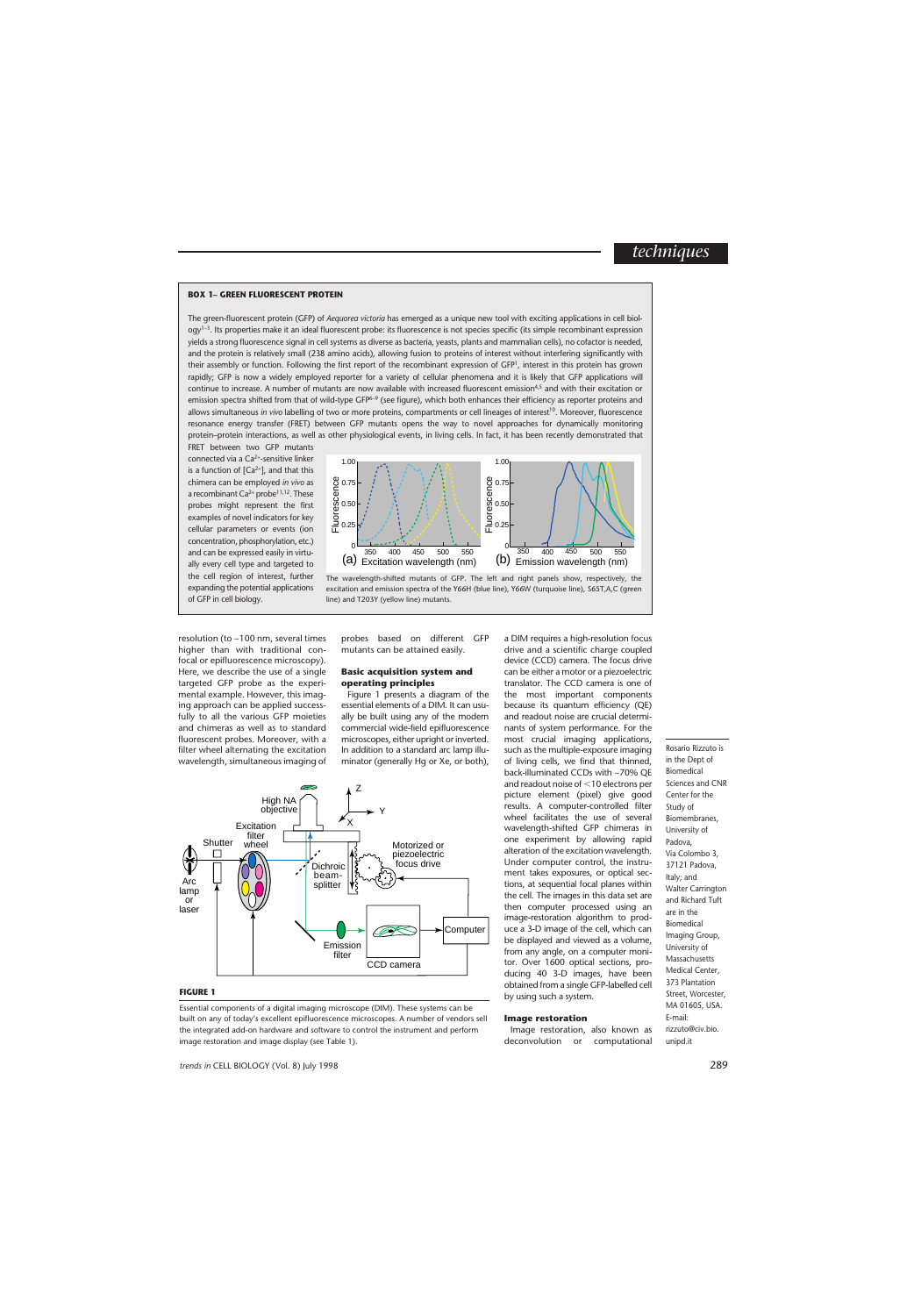### **BOX 1– GREEN FLUORESCENT PROTEIN**

The green-fluorescent protein (GFP) of *Aequorea victoria* has emerged as a unique new tool with exciting applications in cell biology1–3. Its properties make it an ideal fluorescent probe: its fluorescence is not species specific (its simple recombinant expression yields a strong fluorescence signal in cell systems as diverse as bacteria, yeasts, plants and mammalian cells), no cofactor is needed, and the protein is relatively small (238 amino acids), allowing fusion to proteins of interest without interfering significantly with their assembly or function. Following the first report of the recombinant expression of GFP<sup>1</sup>, interest in this protein has grown rapidly; GFP is now a widely employed reporter for a variety of cellular phenomena and it is likely that GFP applications will continue to increase. A number of mutants are now available with increased fluorescent emission4,5 and with their excitation or emission spectra shifted from that of wild-type GFP<sup>6-9</sup> (see figure), which both enhances their efficiency as reporter proteins and allows simultaneous *in vivo* labelling of two or more proteins, compartments or cell lineages of interest<sup>10</sup>. Moreover, fluorescence resonance energy transfer (FRET) between GFP mutants opens the way to novel approaches for dynamically monitoring protein–protein interactions, as well as other physiological events, in living cells. In fact, it has been recently demonstrated that

FRET between two GFP mutants connected via a  $Ca^{2+}$ -sensitive linker is a function of  $[Ca^{2+}]$ , and that this chimera can be employed *in vivo* as a recombinant  $Ca^{2+}$  probe<sup>11,12</sup>. These probes might represent the first examples of novel indicators for key cellular parameters or events (ion concentration, phosphorylation, etc.) and can be expressed easily in virtually every cell type and targeted to the cell region of interest, further expanding the potential applications of GFP in cell biology.



The wavelength-shifted mutants of GFP. The left and right panels show, respectively, the excitation and emission spectra of the Y66H (blue line), Y66W (turquoise line), S65T,A,C (green line) and T203Y (yellow line) mutants.

resolution (to ~100 nm, several times higher than with traditional confocal or epifluorescence microscopy). Here, we describe the use of a single targeted GFP probe as the experimental example. However, this imaging approach can be applied successfully to all the various GFP moieties and chimeras as well as to standard fluorescent probes. Moreover, with a filter wheel alternating the excitation wavelength, simultaneous imaging of

probes based on different GFP mutants can be attained easily.

### **Basic acquisition system and operating principles**

Figure 1 presents a diagram of the essential elements of a DIM. It can usually be built using any of the modern commercial wide-field epifluorescence microscopes, either upright or inverted. In addition to a standard arc lamp illuminator (generally Hg or Xe, or both),



### **FIGURE 1**

Essential components of a digital imaging microscope (DIM). These systems can be built on any of today's excellent epifluorescence microscopes. A number of vendors sell the integrated add-on hardware and software to control the instrument and perform image restoration and image display (see Table 1).

a DIM requires a high-resolution focus drive and a scientific charge coupled device (CCD) camera. The focus drive can be either a motor or a piezoelectric translator. The CCD camera is one of the most important components because its quantum efficiency (QE) and readout noise are crucial determinants of system performance. For the most crucial imaging applications, such as the multiple-exposure imaging of living cells, we find that thinned, back-illuminated CCDs with ~70% QE and readout noise of <10 electrons per picture element (pixel) give good results. A computer-controlled filter wheel facilitates the use of several wavelength-shifted GFP chimeras in one experiment by allowing rapid alteration of the excitation wavelength. Under computer control, the instrument takes exposures, or optical sections, at sequential focal planes within the cell. The images in this data set are then computer processed using an image-restoration algorithm to produce a 3-D image of the cell, which can be displayed and viewed as a volume, from any angle, on a computer monitor. Over 1600 optical sections, producing 40 3-D images, have been obtained from a single GFP-labelled cell by using such a system.

### **Image restoration**

Image restoration, also known as deconvolution or computational

Rosario Rizzuto is in the Dept of Biomedical Sciences and CNR Center for the Study of Biomembranes, University of Padova, Via Colombo 3, 37121 Padova, Italy; and Walter Carrington and Richard Tuft are in the Biomedical Imaging Group, University of Massachusetts Medical Center, 373 Plantation Street, Worcester, MA 01605, USA. E-mail: rizzuto@civ.bio. unipd.it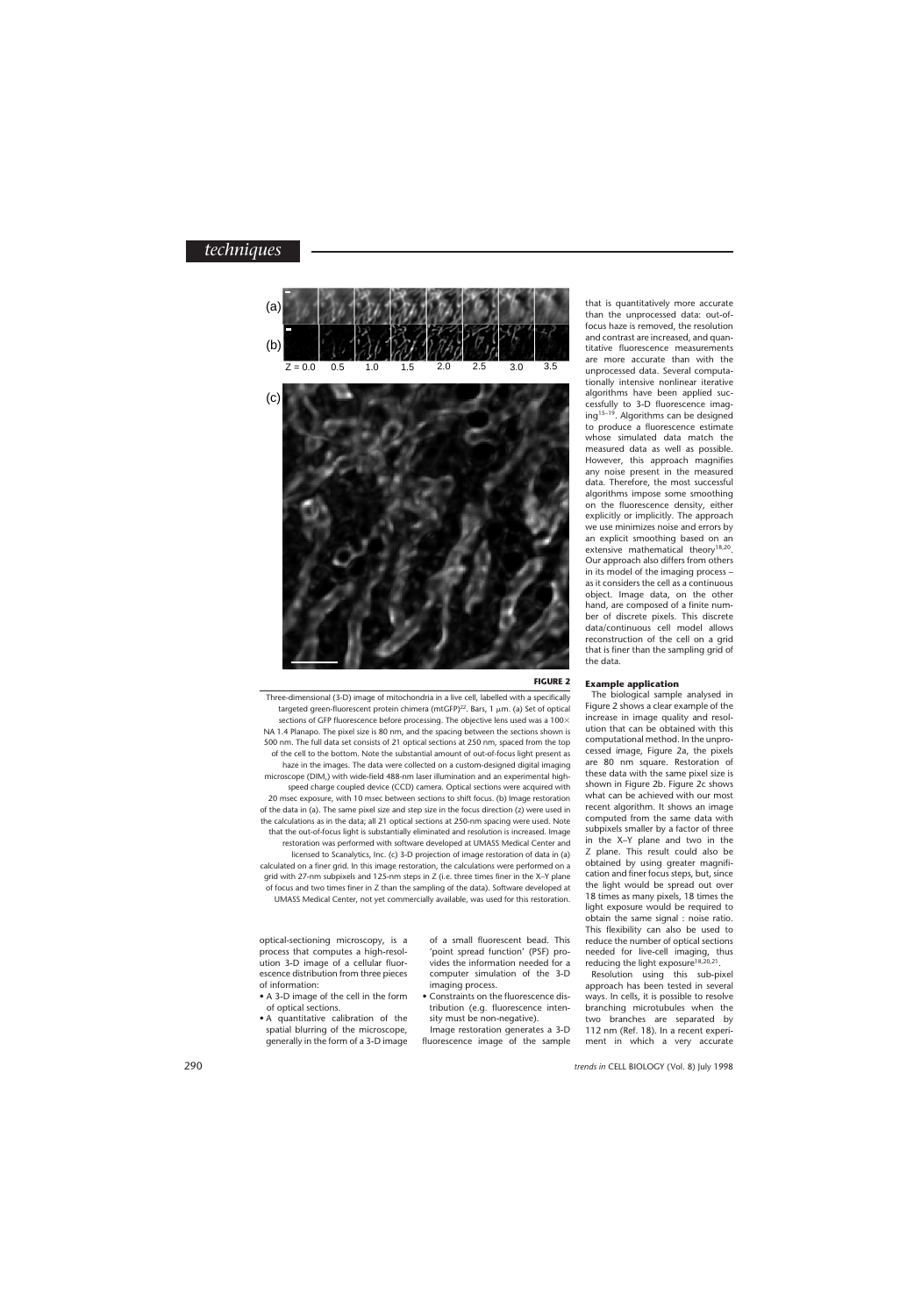

## **FIGURE 2**

Three-dimensional (3-D) image of mitochondria in a live cell, labelled with a specifically targeted green-fluorescent protein chimera (mtGFP)<sup>22</sup>. Bars, 1  $\mu$ m. (a) Set of optical sections of GFP fluorescence before processing. The objective lens used was a  $100\times$ NA 1.4 Planapo. The pixel size is 80 nm, and the spacing between the sections shown is 500 nm. The full data set consists of 21 optical sections at 250 nm, spaced from the top of the cell to the bottom. Note the substantial amount of out-of-focus light present as haze in the images. The data were collected on a custom-designed digital imaging microscope (DIM,) with wide-field 488-nm laser illumination and an experimental highspeed charge coupled device (CCD) camera. Optical sections were acquired with 20 msec exposure, with 10 msec between sections to shift focus. (b) Image restoration of the data in (a). The same pixel size and step size in the focus direction (z) were used in the calculations as in the data; all 21 optical sections at 250-nm spacing were used. Note that the out-of-focus light is substantially eliminated and resolution is increased. Image restoration was performed with software developed at UMASS Medical Center and licensed to Scanalytics, Inc. (c) 3-D projection of image restoration of data in (a) calculated on a finer grid. In this image restoration, the calculations were performed on a grid with 27-nm subpixels and 125-nm steps in Z (i.e. three times finer in the X–Y plane of focus and two times finer in Z than the sampling of the data). Software developed at UMASS Medical Center, not yet commercially available, was used for this restoration.

optical-sectioning microscopy, is a process that computes a high-resolution 3-D image of a cellular fluorescence distribution from three pieces of information:

- A 3-D image of the cell in the form of optical sections.
- A quantitative calibration of the spatial blurring of the microscope, generally in the form of a 3-D image

of a small fluorescent bead. This 'point spread function' (PSF) provides the information needed for a computer simulation of the 3-D imaging process.

• Constraints on the fluorescence distribution (e.g*.* fluorescence intensity must be non-negative).

Image restoration generates a 3-D fluorescence image of the sample that is quantitatively more accurate than the unprocessed data: out-offocus haze is removed, the resolution and contrast are increased, and quantitative fluorescence measurements are more accurate than with the unprocessed data. Several computationally intensive nonlinear iterative algorithms have been applied successfully to 3-D fluorescence imaging<sup>15–19</sup>. Algorithms can be designed to produce a fluorescence estimate whose simulated data match the measured data as well as possible. However, this approach magnifies any noise present in the measured data. Therefore, the most successful algorithms impose some smoothing on the fluorescence density, either explicitly or implicitly. The approach we use minimizes noise and errors by an explicit smoothing based on an extensive mathematical theory<sup>18,20</sup>. Our approach also differs from others in its model of the imaging process – as it considers the cell as a continuous object. Image data, on the other hand, are composed of a finite number of discrete pixels. This discrete data/continuous cell model allows reconstruction of the cell on a grid that is finer than the sampling grid of the data.

### **Example application**

The biological sample analysed in Figure 2 shows a clear example of the increase in image quality and resolution that can be obtained with this computational method. In the unprocessed image, Figure 2a, the pixels are 80 nm square. Restoration of these data with the same pixel size is shown in Figure 2b. Figure 2c shows what can be achieved with our most recent algorithm. It shows an image computed from the same data with subpixels smaller by a factor of three in the X–Y plane and two in the Z plane. This result could also be obtained by using greater magnification and finer focus steps, but, since the light would be spread out over 18 times as many pixels, 18 times the light exposure would be required to obtain the same signal : noise ratio. This flexibility can also be used to reduce the number of optical sections needed for live-cell imaging, thus reducing the light exposure<sup>18,20,21</sup>.

Resolution using this sub-pixel approach has been tested in several ways. In cells, it is possible to resolve branching microtubules when the two branches are separated by 112 nm (Ref. 18). In a recent experiment in which a very accurate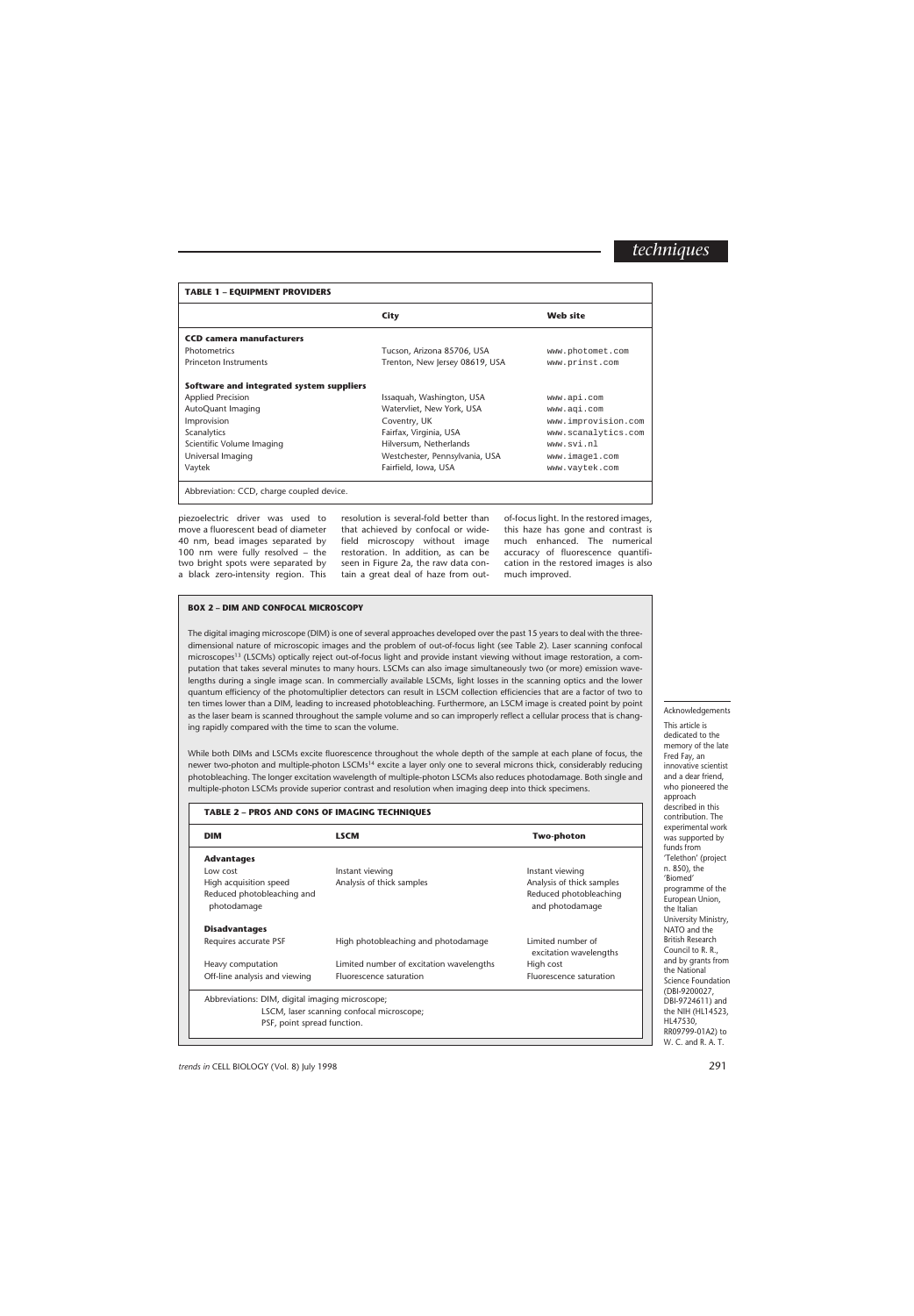### **TABLE 1 – EQUIPMENT PROVIDERS**

|                                           | <b>City</b>                    | <b>Web site</b>     |
|-------------------------------------------|--------------------------------|---------------------|
| <b>CCD camera manufacturers</b>           |                                |                     |
| <b>Photometrics</b>                       | Tucson, Arizona 85706, USA     | www.photomet.com    |
| Princeton Instruments                     | Trenton, New Jersey 08619, USA | www.prinst.com      |
| Software and integrated system suppliers  |                                |                     |
| <b>Applied Precision</b>                  | Issaquah, Washington, USA      | www.api.com         |
| AutoQuant Imaging                         | Watervliet, New York, USA      | www.aqi.com         |
| Improvision                               | Coventry, UK                   | www.improvision.com |
| Scanalytics                               | Fairfax, Virginia, USA         | www.scanalytics.com |
| Scientific Volume Imaging                 | Hilversum, Netherlands         | www.svi.nl          |
| Universal Imaging                         | Westchester, Pennsylvania, USA | www.imagel.com      |
| Vaytek                                    | Fairfield, Iowa, USA           | www.vaytek.com      |
| Abbreviation: CCD, charge coupled device. |                                |                     |

piezoelectric driver was used to move a fluorescent bead of diameter 40 nm, bead images separated by 100 nm were fully resolved – the two bright spots were separated by a black zero-intensity region. This

resolution is several-fold better than that achieved by confocal or widefield microscopy without image restoration. In addition, as can be seen in Figure 2a, the raw data contain a great deal of haze from out-

of-focus light. In the restored images, this haze has gone and contrast is much enhanced. The numerical accuracy of fluorescence quantification in the restored images is also much improved.

# **BOX 2 – DIM AND CONFOCAL MICROSCOPY**

The digital imaging microscope (DIM) is one of several approaches developed over the past 15 years to deal with the threedimensional nature of microscopic images and the problem of out-of-focus light (see Table 2). Laser scanning confocal microscopes<sup>13</sup> (LSCMs) optically reject out-of-focus light and provide instant viewing without image restoration, a computation that takes several minutes to many hours. LSCMs can also image simultaneously two (or more) emission wavelengths during a single image scan. In commercially available LSCMs, light losses in the scanning optics and the lower quantum efficiency of the photomultiplier detectors can result in LSCM collection efficiencies that are a factor of two to ten times lower than a DIM, leading to increased photobleaching. Furthermore, an LSCM image is created point by point as the laser beam is scanned throughout the sample volume and so can improperly reflect a cellular process that is changing rapidly compared with the time to scan the volume.

While both DIMs and LSCMs excite fluorescence throughout the whole depth of the sample at each plane of focus, the newer two-photon and multiple-photon LSCMs<sup>14</sup> excite a layer only one to several microns thick, considerably reducing photobleaching. The longer excitation wavelength of multiple-photon LSCMs also reduces photodamage. Both single and multiple-photon LSCMs provide superior contrast and resolution when imaging deep into thick specimens.

# **TABLE 2 – PROS AND CONS OF IMAGING TECHNIQUES DIM LSCM LSCM Two-photon Advantages** Low cost **Instant viewing** Instant viewing Instant viewing High acquisition speed Analysis of thick samples Analysis of thick samples Reduced photobleaching and **Reduced photobleaching** and **Reduced photobleaching** photodamage and photodamage and photodamage and photodamage and photodamage and photodamage and photodamage and photodamage  $\alpha$ **Disadvantages** Requires accurate PSF **High photobleaching and photodamage** Limited number of excitation wavelengths Heavy computation **Limited number of excitation wavelengths** High cost Off-line analysis and viewing Fluorescence saturation Fluorescence saturation Abbreviations: DIM, digital imaging microscope; LSCM, laser scanning confocal microscope; PSF, point spread function.

### Acknowledgements

This article is dedicated to the memory of the late Fred Fay, an innovative scientist and a dear friend, who pioneered the approach described in this contribution. The experimental work was supported by funds from 'Telethon' (project n. 850), the 'Biomed' programme of the European Union, the Italian University Ministry, NATO and the British Research Council to R. R., and by grants from the National Science Foundation (DBI-9200027, DBI-9724611) and the NIH (HL14523, HL47530, RR09799-01A2) to W. C. and R. A. T.